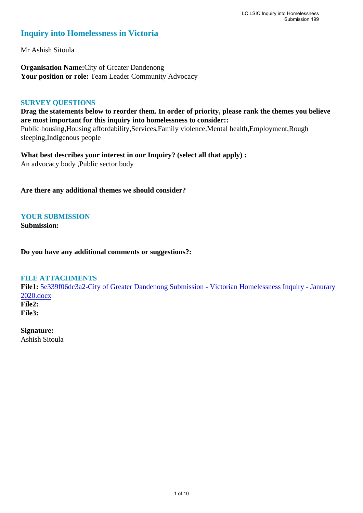### **Inquiry into Homelessness in Victoria**

Mr Ashish Sitoula

**Organisation Name:**City of Greater Dandenong Your position or role: Team Leader Community Advocacy

#### **SURVEY QUESTIONS**

**Drag the statements below to reorder them. In order of priority, please rank the themes you believe are most important for this inquiry into homelessness to consider::**  Public housing,Housing affordability,Services,Family violence,Mental health,Employment,Rough sleeping,Indigenous people

**What best describes your interest in our Inquiry? (select all that apply) :**  An advocacy body ,Public sector body

**Are there any additional themes we should consider?**

**YOUR SUBMISSION**

**Submission:** 

**Do you have any additional comments or suggestions?:** 

#### **FILE ATTACHMENTS**

**File1:** 5e339f06dc3a2-City of Greater Dandenong Submission - Victorian Homelessness Inquiry - Janurary 2020.docx **File2:** 

**File3:** 

### **Signature:**

Ashish Sitoula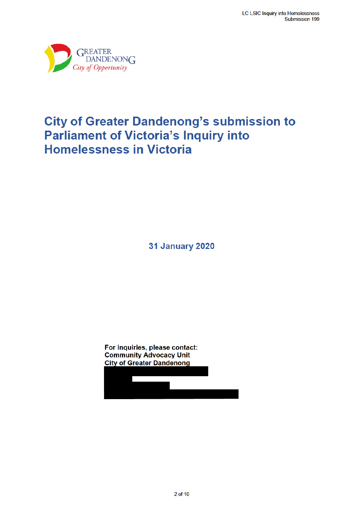

# **City of Greater Dandenong's submission to Parliament of Victoria's Inquiry into Homelessness in Victoria**

**31 January 2020** 

For inquiries, please contact: **Community Advocacy Unit City of Greater Dandenong**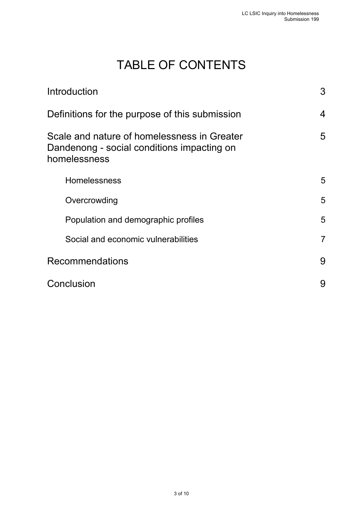# TABLE OF CONTENTS

| Introduction                                                                                              | 3              |
|-----------------------------------------------------------------------------------------------------------|----------------|
| Definitions for the purpose of this submission                                                            |                |
| Scale and nature of homelessness in Greater<br>Dandenong - social conditions impacting on<br>homelessness | 5              |
| <b>Homelessness</b>                                                                                       | 5              |
| Overcrowding                                                                                              | 5              |
| Population and demographic profiles                                                                       | 5              |
| Social and economic vulnerabilities                                                                       | $\overline{7}$ |
| <b>Recommendations</b>                                                                                    | 9              |
| Conclusion                                                                                                | 9              |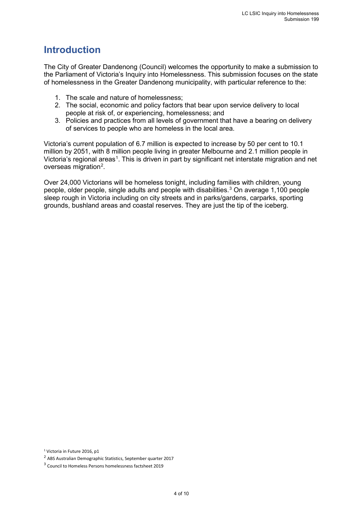# **Introduction**

The City of Greater Dandenong (Council) welcomes the opportunity to make a submission to the Parliament of Victoria's Inquiry into Homelessness. This submission focuses on the state of homelessness in the Greater Dandenong municipality, with particular reference to the:

- 1. The scale and nature of homelessness;
- 2. The social, economic and policy factors that bear upon service delivery to local people at risk of, or experiencing, homelessness; and
- 3. Policies and practices from all levels of government that have a bearing on delivery of services to people who are homeless in the local area.

Victoria's current population of 6.7 million is expected to increase by 50 per cent to 10.1 million by 2051, with 8 million people living in greater Melbourne and 2.1 million people in Victoria's regional areas<sup>1</sup>. This is driven in part by significant net interstate migration and net overseas migration<sup>2</sup>.

Over 24,000 Victorians will be homeless tonight, including families with children, young people, older people, single adults and people with disabilities.<sup>3</sup> On average 1,100 people sleep rough in Victoria including on city streets and in parks/gardens, carparks, sporting grounds, bushland areas and coastal reserves. They are just the tip of the iceberg.

<sup>1</sup> Victoria in Future 2016, p1

<sup>2</sup> ABS Australian Demographic Statistics, September quarter 2017

<sup>3</sup> Council to Homeless Persons homelessness factsheet 2019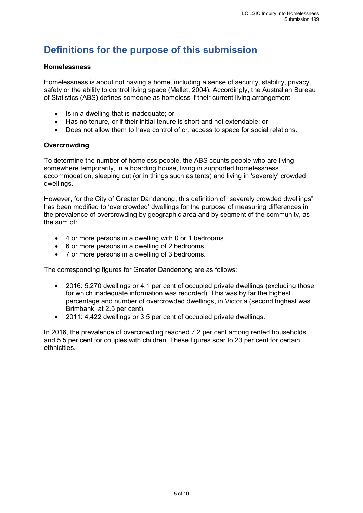# **Definitions for the purpose of this submission**

#### **Homelessness**

Homelessness is about not having a home, including a sense of security, stability, privacy, safety or the ability to control living space (Mallet, 2004). Accordingly, the Australian Bureau of Statistics (ABS) defines someone as homeless if their current living arrangement:

- Is in a dwelling that is inadequate; or
- Has no tenure, or if their initial tenure is short and not extendable; or
- Does not allow them to have control of or, access to space for social relations.

#### **Overcrowding**

To determine the number of homeless people, the ABS counts people who are living somewhere temporarily, in a boarding house, living in supported homelessness accommodation, sleeping out (or in things such as tents) and living in 'severely' crowded dwellings.

However, for the City of Greater Dandenong, this definition of "severely crowded dwellings" has been modified to 'overcrowded' dwellings for the purpose of measuring differences in the prevalence of overcrowding by geographic area and by segment of the community, as the sum of:

- 4 or more persons in a dwelling with 0 or 1 bedrooms
- 6 or more persons in a dwelling of 2 bedrooms
- 7 or more persons in a dwelling of 3 bedrooms.

The corresponding figures for Greater Dandenong are as follows:

- 2016: 5,270 dwellings or 4.1 per cent of occupied private dwellings (excluding those for which inadequate information was recorded). This was by far the highest percentage and number of overcrowded dwellings, in Victoria (second highest was Brimbank, at 2.5 per cent).
- 2011: 4,422 dwellings or 3.5 per cent of occupied private dwellings.

In 2016, the prevalence of overcrowding reached 7.2 per cent among rented households and 5.5 per cent for couples with children. These figures soar to 23 per cent for certain ethnicities.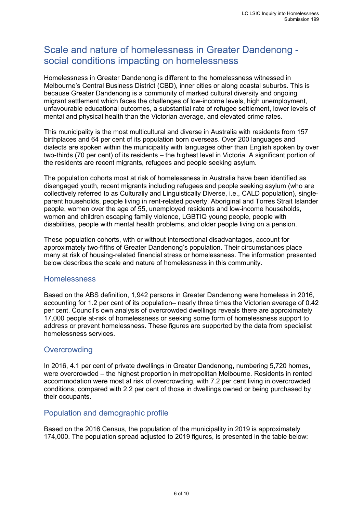# Scale and nature of homelessness in Greater Dandenong social conditions impacting on homelessness

Homelessness in Greater Dandenong is different to the homelessness witnessed in Melbourne's Central Business District (CBD), inner cities or along coastal suburbs. This is because Greater Dandenong is a community of marked cultural diversity and ongoing migrant settlement which faces the challenges of low-income levels, high unemployment, unfavourable educational outcomes, a substantial rate of refugee settlement, lower levels of mental and physical health than the Victorian average, and elevated crime rates.

This municipality is the most multicultural and diverse in Australia with residents from 157 birthplaces and 64 per cent of its population born overseas. Over 200 languages and dialects are spoken within the municipality with languages other than English spoken by over two-thirds (70 per cent) of its residents – the highest level in Victoria. A significant portion of the residents are recent migrants, refugees and people seeking asylum.

The population cohorts most at risk of homelessness in Australia have been identified as disengaged youth, recent migrants including refugees and people seeking asylum (who are collectively referred to as Culturally and Linguistically Diverse, i.e., CALD population), singleparent households, people living in rent-related poverty, Aboriginal and Torres Strait Islander people, women over the age of 55, unemployed residents and low-income households, women and children escaping family violence, LGBTIQ young people, people with disabilities, people with mental health problems, and older people living on a pension.

These population cohorts, with or without intersectional disadvantages, account for approximately two-fifths of Greater Dandenong's population. Their circumstances place many at risk of housing-related financial stress or homelessness. The information presented below describes the scale and nature of homelessness in this community.

#### Homelessness

Based on the ABS definition, 1,942 persons in Greater Dandenong were homeless in 2016, accounting for 1.2 per cent of its population– nearly three times the Victorian average of 0.42 per cent. Council's own analysis of overcrowded dwellings reveals there are approximately 17,000 people at-risk of homelessness or seeking some form of homelessness support to address or prevent homelessness. These figures are supported by the data from specialist homelessness services.

### **Overcrowding**

In 2016, 4.1 per cent of private dwellings in Greater Dandenong, numbering 5,720 homes, were overcrowded – the highest proportion in metropolitan Melbourne. Residents in rented accommodation were most at risk of overcrowding, with 7.2 per cent living in overcrowded conditions, compared with 2.2 per cent of those in dwellings owned or being purchased by their occupants.

#### Population and demographic profile

Based on the 2016 Census, the population of the municipality in 2019 is approximately 174,000. The population spread adjusted to 2019 figures, is presented in the table below: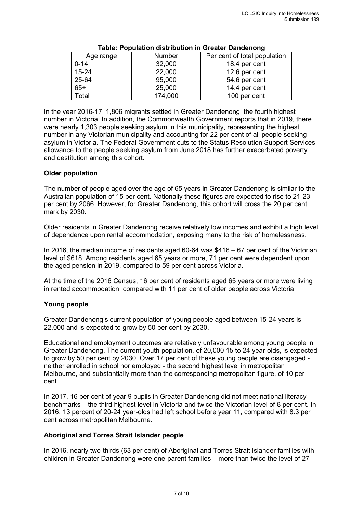| Age range | Number  | Per cent of total population |
|-----------|---------|------------------------------|
| $0 - 14$  | 32,000  | 18.4 per cent                |
| $15 - 24$ | 22,000  | 12.6 per cent                |
| 25-64     | 95,000  | 54.6 per cent                |
| $65+$     | 25,000  | 14.4 per cent                |
| Total     | 174,000 | 100 per cent                 |

#### **Table: Population distribution in Greater Dandenong**

In the year 2016-17, 1,806 migrants settled in Greater Dandenong, the fourth highest number in Victoria. In addition, the Commonwealth Government reports that in 2019, there were nearly 1,303 people seeking asylum in this municipality, representing the highest number in any Victorian municipality and accounting for 22 per cent of all people seeking asylum in Victoria. The Federal Government cuts to the Status Resolution Support Services allowance to the people seeking asylum from June 2018 has further exacerbated poverty and destitution among this cohort.

#### **Older population**

The number of people aged over the age of 65 years in Greater Dandenong is similar to the Australian population of 15 per cent. Nationally these figures are expected to rise to 21-23 per cent by 2066. However, for Greater Dandenong, this cohort will cross the 20 per cent mark by 2030.

Older residents in Greater Dandenong receive relatively low incomes and exhibit a high level of dependence upon rental accommodation, exposing many to the risk of homelessness.

In 2016, the median income of residents aged 60-64 was \$416 – 67 per cent of the Victorian level of \$618. Among residents aged 65 years or more, 71 per cent were dependent upon the aged pension in 2019, compared to 59 per cent across Victoria.

At the time of the 2016 Census, 16 per cent of residents aged 65 years or more were living in rented accommodation, compared with 11 per cent of older people across Victoria.

#### **Young people**

Greater Dandenong's current population of young people aged between 15-24 years is 22,000 and is expected to grow by 50 per cent by 2030.

Educational and employment outcomes are relatively unfavourable among young people in Greater Dandenong. The current youth population, of 20,000 15 to 24 year-olds, is expected to grow by 50 per cent by 2030. Over 17 per cent of these young people are disengaged neither enrolled in school nor employed - the second highest level in metropolitan Melbourne, and substantially more than the corresponding metropolitan figure, of 10 per cent.

In 2017, 16 per cent of year 9 pupils in Greater Dandenong did not meet national literacy benchmarks – the third highest level in Victoria and twice the Victorian level of 8 per cent. In 2016, 13 percent of 20-24 year-olds had left school before year 11, compared with 8.3 per cent across metropolitan Melbourne.

#### **Aboriginal and Torres Strait Islander people**

In 2016, nearly two-thirds (63 per cent) of Aboriginal and Torres Strait Islander families with children in Greater Dandenong were one-parent families – more than twice the level of 27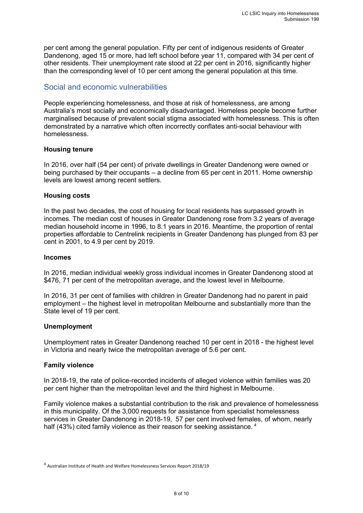per cent among the general population. Fifty per cent of indigenous residents of Greater Dandenong, aged 15 or more, had left school before year 11, compared with 34 per cent of other residents. Their unemployment rate stood at 22 per cent in 2016, significantly higher than the corresponding level of 10 per cent among the general population at this time.

### Social and economic vulnerabilities

People experiencing homelessness, and those at risk of homelessness, are among Australia's most socially and economically disadvantaged. Homeless people become further marginalised because of prevalent social stigma associated with homelessness. This is often demonstrated by a narrative which often incorrectly conflates anti-social behaviour with homelessness.

#### **Housing tenure**

In 2016, over half (54 per cent) of private dwellings in Greater Dandenong were owned or being purchased by their occupants – a decline from 65 per cent in 2011. Home ownership levels are lowest among recent settlers.

#### **Housing costs**

In the past two decades, the cost of housing for local residents has surpassed growth in incomes. The median cost of houses in Greater Dandenong rose from 3.2 years of average median household income in 1996, to 8.1 years in 2016. Meantime, the proportion of rental properties affordable to Centrelink recipients in Greater Dandenong has plunged from 83 per cent in 2001, to 4.9 per cent by 2019.

#### **Incomes**

In 2016, median individual weekly gross individual incomes in Greater Dandenong stood at \$476, 71 per cent of the metropolitan average, and the lowest level in Melbourne.

In 2016, 31 per cent of families with children in Greater Dandenong had no parent in paid employment – the highest level in metropolitan Melbourne and substantially more than the State level of 19 per cent.

#### **Unemployment**

Unemployment rates in Greater Dandenong reached 10 per cent in 2018 - the highest level in Victoria and nearly twice the metropolitan average of 5.6 per cent.

#### **Family violence**

In 2018-19, the rate of police-recorded incidents of alleged violence within families was 20 per cent higher than the metropolitan level and the third highest in Melbourne.

Family violence makes a substantial contribution to the risk and prevalence of homelessness in this municipality. Of the 3,000 requests for assistance from specialist homelessness services in Greater Dandenong in 2018-19, 57 per cent involved females, of whom, nearly half (43%) cited family violence as their reason for seeking assistance. <sup>4</sup>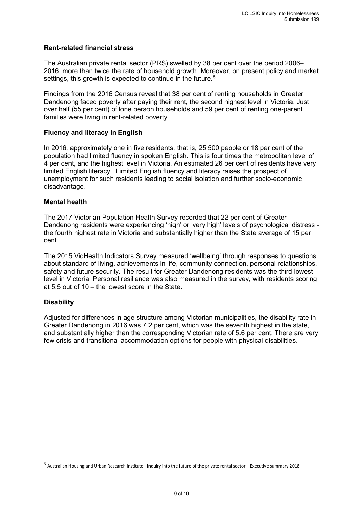#### **Rent-related financial stress**

The Australian private rental sector (PRS) swelled by 38 per cent over the period 2006– 2016, more than twice the rate of household growth. Moreover, on present policy and market settings, this growth is expected to continue in the future.<sup>5</sup>

Findings from the 2016 Census reveal that 38 per cent of renting households in Greater Dandenong faced poverty after paying their rent, the second highest level in Victoria. Just over half (55 per cent) of lone person households and 59 per cent of renting one-parent families were living in rent-related poverty.

#### **Fluency and literacy in English**

In 2016, approximately one in five residents, that is, 25,500 people or 18 per cent of the population had limited fluency in spoken English. This is four times the metropolitan level of 4 per cent, and the highest level in Victoria. An estimated 26 per cent of residents have very limited English literacy. Limited English fluency and literacy raises the prospect of unemployment for such residents leading to social isolation and further socio-economic disadvantage.

#### **Mental health**

The 2017 Victorian Population Health Survey recorded that 22 per cent of Greater Dandenong residents were experiencing 'high' or 'very high' levels of psychological distress the fourth highest rate in Victoria and substantially higher than the State average of 15 per cent.

The 2015 VicHealth Indicators Survey measured 'wellbeing' through responses to questions about standard of living, achievements in life, community connection, personal relationships, safety and future security. The result for Greater Dandenong residents was the third lowest level in Victoria. Personal resilience was also measured in the survey, with residents scoring at 5.5 out of 10 – the lowest score in the State.

#### **Disability**

Adjusted for differences in age structure among Victorian municipalities, the disability rate in Greater Dandenong in 2016 was 7.2 per cent, which was the seventh highest in the state, and substantially higher than the corresponding Victorian rate of 5.6 per cent. There are very few crisis and transitional accommodation options for people with physical disabilities.